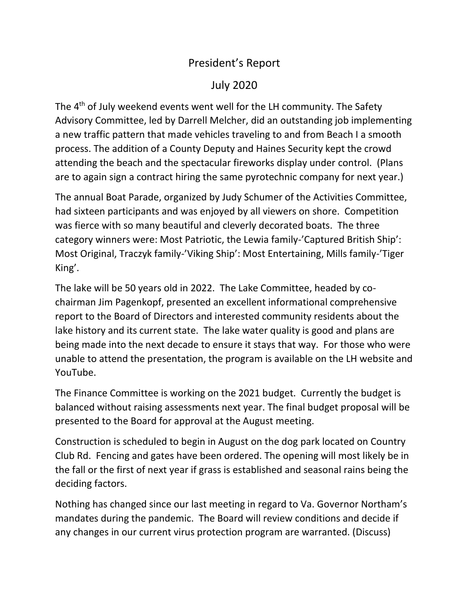## President's Report

## July 2020

The 4<sup>th</sup> of July weekend events went well for the LH community. The Safety Advisory Committee, led by Darrell Melcher, did an outstanding job implementing a new traffic pattern that made vehicles traveling to and from Beach I a smooth process. The addition of a County Deputy and Haines Security kept the crowd attending the beach and the spectacular fireworks display under control. (Plans are to again sign a contract hiring the same pyrotechnic company for next year.)

The annual Boat Parade, organized by Judy Schumer of the Activities Committee, had sixteen participants and was enjoyed by all viewers on shore. Competition was fierce with so many beautiful and cleverly decorated boats. The three category winners were: Most Patriotic, the Lewia family-'Captured British Ship': Most Original, Traczyk family-'Viking Ship': Most Entertaining, Mills family-'Tiger King'.

The lake will be 50 years old in 2022. The Lake Committee, headed by cochairman Jim Pagenkopf, presented an excellent informational comprehensive report to the Board of Directors and interested community residents about the lake history and its current state. The lake water quality is good and plans are being made into the next decade to ensure it stays that way. For those who were unable to attend the presentation, the program is available on the LH website and YouTube.

The Finance Committee is working on the 2021 budget. Currently the budget is balanced without raising assessments next year. The final budget proposal will be presented to the Board for approval at the August meeting.

Construction is scheduled to begin in August on the dog park located on Country Club Rd. Fencing and gates have been ordered. The opening will most likely be in the fall or the first of next year if grass is established and seasonal rains being the deciding factors.

Nothing has changed since our last meeting in regard to Va. Governor Northam's mandates during the pandemic. The Board will review conditions and decide if any changes in our current virus protection program are warranted. (Discuss)